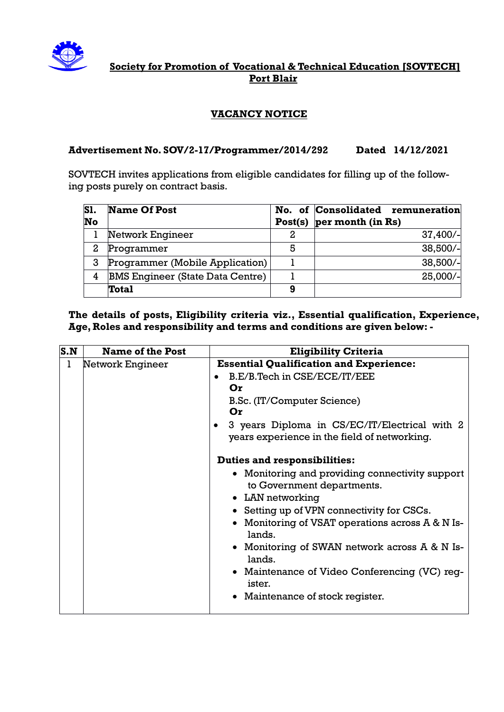

# **Society for Promotion of Vocational & Technical Education [SOVTECH] Port Blair**

# **VACANCY NOTICE**

### **Advertisement No. SOV/2-17/Programmer/2014/292 Dated 14/12/2021**

SOVTECH invites applications from eligible candidates for filling up of the following posts purely on contract basis.

| <b>S1.</b><br>No | Name Of Post                            |    | No. of Consolidated remuneration<br>Post(s) $per$ month (in Rs) |
|------------------|-----------------------------------------|----|-----------------------------------------------------------------|
|                  | Network Engineer                        | 2. | $37,400/-$                                                      |
| 2                | Programmer                              | 5  | $38,500/-$                                                      |
| 3                | Programmer (Mobile Application)         |    | $38,500/-$                                                      |
| 4                | <b>BMS Engineer (State Data Centre)</b> |    | $25,000/-$                                                      |
|                  | Total                                   | 9  |                                                                 |

### **The details of posts, Eligibility criteria viz., Essential qualification, Experience, Age, Roles and responsibility and terms and conditions are given below: -**

| $\mathbf{S}.\mathbf{N}$ | <b>Name of the Post</b> | <b>Eligibility Criteria</b>                                  |
|-------------------------|-------------------------|--------------------------------------------------------------|
| 1                       | Network Engineer        | <b>Essential Qualification and Experience:</b>               |
|                         |                         | B.E/B.Tech in CSE/ECE/IT/EEE                                 |
|                         |                         | Or                                                           |
|                         |                         | B.Sc. (IT/Computer Science)                                  |
|                         |                         | Or                                                           |
|                         |                         | 3 years Diploma in CS/EC/IT/Electrical with 2                |
|                         |                         | years experience in the field of networking.                 |
|                         |                         | <b>Duties and responsibilities:</b>                          |
|                         |                         | • Monitoring and providing connectivity support              |
|                         |                         | to Government departments.                                   |
|                         |                         | • LAN networking                                             |
|                         |                         | • Setting up of VPN connectivity for CSCs.                   |
|                         |                         | • Monitoring of VSAT operations across $A & N$ Is-<br>lands. |
|                         |                         | • Monitoring of SWAN network across A & N Is-<br>lands.      |
|                         |                         | • Maintenance of Video Conferencing (VC) reg-<br>ister.      |
|                         |                         | • Maintenance of stock register.                             |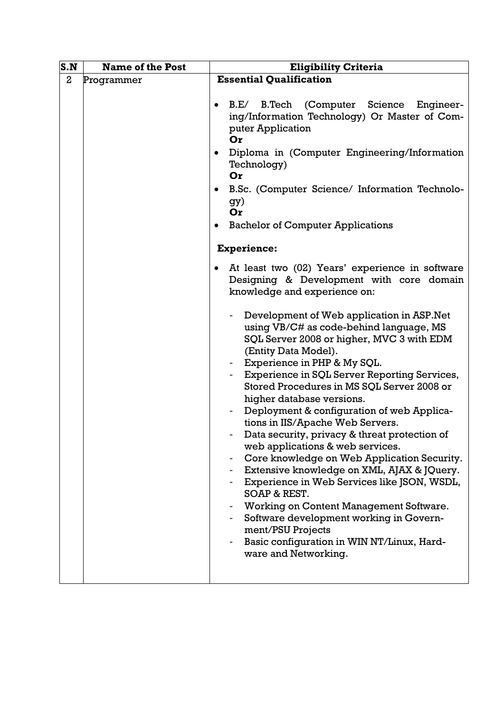| S.N              | <b>Name of the Post</b> | <b>Eligibility Criteria</b>                                                                                                                                                                                                                                                                                                                                                                                                                                                                                                                                                                                                         |
|------------------|-------------------------|-------------------------------------------------------------------------------------------------------------------------------------------------------------------------------------------------------------------------------------------------------------------------------------------------------------------------------------------------------------------------------------------------------------------------------------------------------------------------------------------------------------------------------------------------------------------------------------------------------------------------------------|
| $\boldsymbol{2}$ |                         | <b>Essential Qualification</b>                                                                                                                                                                                                                                                                                                                                                                                                                                                                                                                                                                                                      |
|                  | Programmer<br>٠<br>٠    | (Computer Science Engineer-<br>B.E/<br><b>B.Tech</b><br>ing/Information Technology) Or Master of Com-<br>puter Application<br>Or<br>Diploma in (Computer Engineering/Information<br>Technology)<br>Or<br>B.Sc. (Computer Science/ Information Technolo-<br>gy)<br>Or<br><b>Bachelor of Computer Applications</b><br><b>Experience:</b><br>At least two (02) Years' experience in software<br>Designing & Development with core domain<br>knowledge and experience on:<br>Development of Web application in ASP. Net<br>using VB/C# as code-behind language, MS<br>SQL Server 2008 or higher, MVC 3 with EDM<br>(Entity Data Model). |
|                  |                         | Experience in PHP & My SQL.<br>Experience in SQL Server Reporting Services,<br>Stored Procedures in MS SQL Server 2008 or<br>higher database versions.<br>Deployment & configuration of web Applica-                                                                                                                                                                                                                                                                                                                                                                                                                                |
|                  |                         | tions in IIS/Apache Web Servers.                                                                                                                                                                                                                                                                                                                                                                                                                                                                                                                                                                                                    |
|                  |                         | Data security, privacy & threat protection of<br>web applications & web services.                                                                                                                                                                                                                                                                                                                                                                                                                                                                                                                                                   |
|                  |                         | Core knowledge on Web Application Security.                                                                                                                                                                                                                                                                                                                                                                                                                                                                                                                                                                                         |
|                  |                         | Extensive knowledge on XML, AJAX & JQuery.<br>Experience in Web Services like JSON, WSDL,                                                                                                                                                                                                                                                                                                                                                                                                                                                                                                                                           |
|                  |                         | SOAP & REST.                                                                                                                                                                                                                                                                                                                                                                                                                                                                                                                                                                                                                        |
|                  |                         | Working on Content Management Software.                                                                                                                                                                                                                                                                                                                                                                                                                                                                                                                                                                                             |
|                  |                         | Software development working in Govern-<br>ment/PSU Projects                                                                                                                                                                                                                                                                                                                                                                                                                                                                                                                                                                        |
|                  |                         | Basic configuration in WIN NT/Linux, Hard-<br>ware and Networking.                                                                                                                                                                                                                                                                                                                                                                                                                                                                                                                                                                  |
|                  |                         |                                                                                                                                                                                                                                                                                                                                                                                                                                                                                                                                                                                                                                     |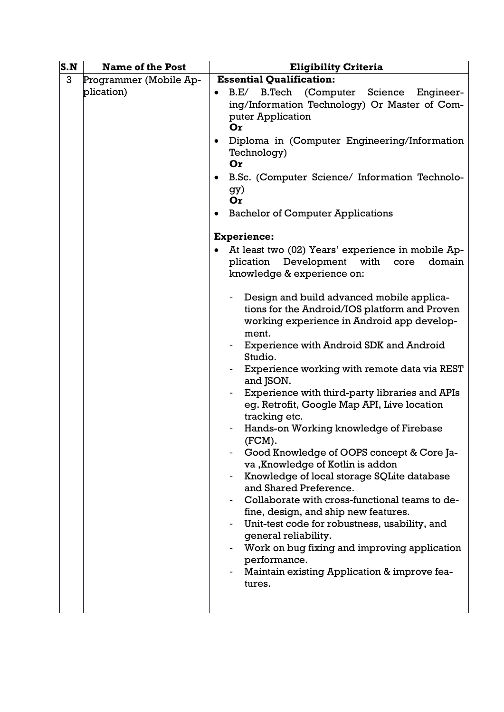| S.N | <b>Name of the Post</b>              | <b>Eligibility Criteria</b>                                                                                                                                                                                                                                                                                                                                                                                                                                                                                                                                                                                                                                                                                                                                                                                                                                                                                                                                                                                                                                                                                                                                                                                                                                                                                                                        |
|-----|--------------------------------------|----------------------------------------------------------------------------------------------------------------------------------------------------------------------------------------------------------------------------------------------------------------------------------------------------------------------------------------------------------------------------------------------------------------------------------------------------------------------------------------------------------------------------------------------------------------------------------------------------------------------------------------------------------------------------------------------------------------------------------------------------------------------------------------------------------------------------------------------------------------------------------------------------------------------------------------------------------------------------------------------------------------------------------------------------------------------------------------------------------------------------------------------------------------------------------------------------------------------------------------------------------------------------------------------------------------------------------------------------|
| 3   | Programmer (Mobile Ap-<br>plication) | <b>Essential Qualification:</b><br>(Computer Science<br>B.E/<br><b>B.Tech</b><br>Engineer-<br>ing/Information Technology) Or Master of Com-<br>puter Application<br>Or<br>Diploma in (Computer Engineering/Information<br>$\bullet$<br>Technology)<br>Or<br>B.Sc. (Computer Science/ Information Technolo-<br>$\bullet$<br>gy)<br>Or<br><b>Bachelor of Computer Applications</b><br><b>Experience:</b><br>At least two (02) Years' experience in mobile Ap-<br>Development with<br>plication<br>core<br>domain<br>knowledge & experience on:<br>Design and build advanced mobile applica-<br>$\overline{\phantom{a}}$<br>tions for the Android/IOS platform and Proven<br>working experience in Android app develop-<br>ment.<br>Experience with Android SDK and Android<br>Studio.<br>Experience working with remote data via REST<br>and JSON.<br>Experience with third-party libraries and APIs<br>eg. Retrofit, Google Map API, Live location<br>tracking etc.<br>Hands-on Working knowledge of Firebase<br>(FCM).<br>Good Knowledge of OOPS concept & Core Ja-<br>va, Knowledge of Kotlin is addon<br>Knowledge of local storage SQLite database<br>and Shared Preference.<br>Collaborate with cross-functional teams to de-<br>fine, design, and ship new features.<br>Unit-test code for robustness, usability, and<br>general reliability. |
|     |                                      | Work on bug fixing and improving application<br>performance.<br>Maintain existing Application & improve fea-<br>tures.                                                                                                                                                                                                                                                                                                                                                                                                                                                                                                                                                                                                                                                                                                                                                                                                                                                                                                                                                                                                                                                                                                                                                                                                                             |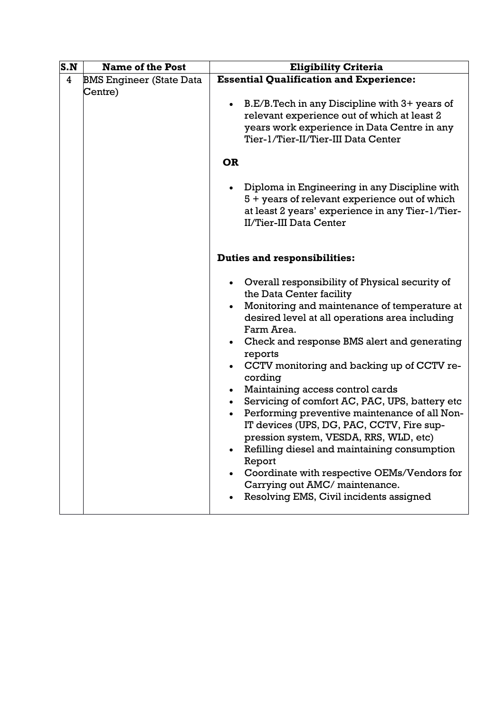| S.N            | <b>Name of the Post</b>                    | <b>Eligibility Criteria</b>                                                                                                                                                                                                                                                                                                                                                                                                                                                                                                                                                                                                                                                                                                                                                                                       |
|----------------|--------------------------------------------|-------------------------------------------------------------------------------------------------------------------------------------------------------------------------------------------------------------------------------------------------------------------------------------------------------------------------------------------------------------------------------------------------------------------------------------------------------------------------------------------------------------------------------------------------------------------------------------------------------------------------------------------------------------------------------------------------------------------------------------------------------------------------------------------------------------------|
| $\overline{4}$ | <b>BMS Engineer (State Data</b><br>Centre) | <b>Essential Qualification and Experience:</b><br>B.E/B.Tech in any Discipline with 3+ years of<br>$\bullet$<br>relevant experience out of which at least 2<br>years work experience in Data Centre in any<br>Tier-1/Tier-II/Tier-III Data Center                                                                                                                                                                                                                                                                                                                                                                                                                                                                                                                                                                 |
|                |                                            | <b>OR</b>                                                                                                                                                                                                                                                                                                                                                                                                                                                                                                                                                                                                                                                                                                                                                                                                         |
|                |                                            | Diploma in Engineering in any Discipline with<br>5 + years of relevant experience out of which<br>at least 2 years' experience in any Tier-1/Tier-<br>II/Tier-III Data Center                                                                                                                                                                                                                                                                                                                                                                                                                                                                                                                                                                                                                                     |
|                |                                            | <b>Duties and responsibilities:</b>                                                                                                                                                                                                                                                                                                                                                                                                                                                                                                                                                                                                                                                                                                                                                                               |
|                |                                            | • Overall responsibility of Physical security of<br>the Data Center facility<br>Monitoring and maintenance of temperature at<br>$\bullet$<br>desired level at all operations area including<br>Farm Area.<br>Check and response BMS alert and generating<br>$\bullet$<br>reports<br>CCTV monitoring and backing up of CCTV re-<br>$\bullet$<br>cording<br>Maintaining access control cards<br>$\bullet$<br>Servicing of comfort AC, PAC, UPS, battery etc<br>$\bullet$<br>Performing preventive maintenance of all Non-<br>IT devices (UPS, DG, PAC, CCTV, Fire sup-<br>pression system, VESDA, RRS, WLD, etc)<br>Refilling diesel and maintaining consumption<br>Report<br>Coordinate with respective OEMs/Vendors for<br>$\bullet$<br>Carrying out AMC/ maintenance.<br>Resolving EMS, Civil incidents assigned |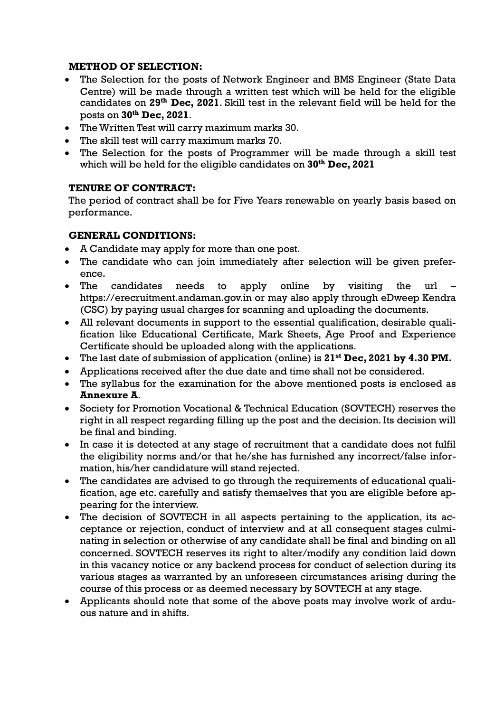#### **METHOD OF SELECTION:**

- The Selection for the posts of Network Engineer and BMS Engineer (State Data Centre) will be made through a written test which will be held for the eligible candidates on **29th Dec, 2021**. Skill test in the relevant field will be held for the posts on **30th Dec, 2021**.
- The Written Test will carry maximum marks 30.
- The skill test will carry maximum marks 70.
- The Selection for the posts of Programmer will be made through a skill test which will be held for the eligible candidates on **30th Dec, 2021**

# **TENURE OF CONTRACT:**

The period of contract shall be for Five Years renewable on yearly basis based on performance.

# **GENERAL CONDITIONS:**

- A Candidate may apply for more than one post.
- The candidate who can join immediately after selection will be given preference.
- The candidates needs to apply online by visiting the url [https://erecruitment.andaman.gov.in](https://erecruitment.andaman.gov.in/) or may also apply through eDweep Kendra (CSC) by paying usual charges for scanning and uploading the documents.
- All relevant documents in support to the essential qualification, desirable qualification like Educational Certificate, Mark Sheets, Age Proof and Experience Certificate should be uploaded along with the applications.
- The last date of submission of application (online) is **21st Dec, 2021 by 4.30 PM.**
- Applications received after the due date and time shall not be considered.
- The syllabus for the examination for the above mentioned posts is enclosed as **Annexure A**.
- Society for Promotion Vocational & Technical Education (SOVTECH) reserves the right in all respect regarding filling up the post and the decision. Its decision will be final and binding.
- In case it is detected at any stage of recruitment that a candidate does not fulfil the eligibility norms and/or that he/she has furnished any incorrect/false information, his/her candidature will stand rejected.
- The candidates are advised to go through the requirements of educational qualification, age etc. carefully and satisfy themselves that you are eligible before appearing for the interview.
- The decision of SOVTECH in all aspects pertaining to the application, its acceptance or rejection, conduct of interview and at all consequent stages culminating in selection or otherwise of any candidate shall be final and binding on all concerned. SOVTECH reserves its right to alter/modify any condition laid down in this vacancy notice or any backend process for conduct of selection during its various stages as warranted by an unforeseen circumstances arising during the course of this process or as deemed necessary by SOVTECH at any stage.
- Applicants should note that some of the above posts may involve work of arduous nature and in shifts.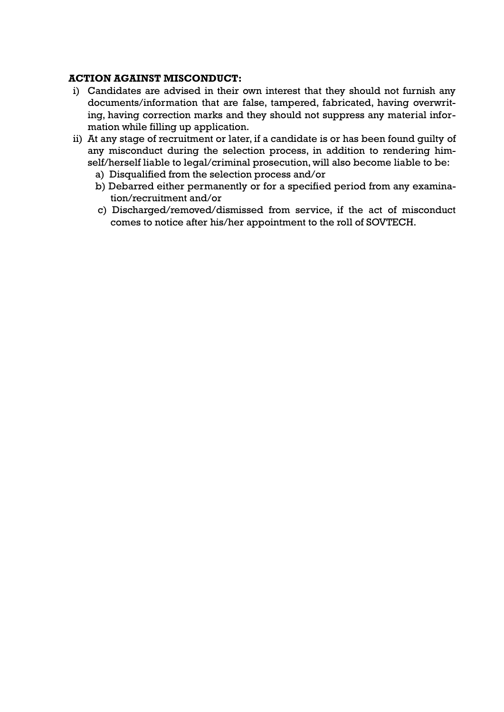#### **ACTION AGAINST MISCONDUCT:**

- i) Candidates are advised in their own interest that they should not furnish any documents/information that are false, tampered, fabricated, having overwriting, having correction marks and they should not suppress any material information while filling up application.
- ii) At any stage of recruitment or later, if a candidate is or has been found guilty of any misconduct during the selection process, in addition to rendering himself/herself liable to legal/criminal prosecution, will also become liable to be:
	- a) Disqualified from the selection process and/or
	- b) Debarred either permanently or for a specified period from any examination/recruitment and/or
	- c) Discharged/removed/dismissed from service, if the act of misconduct comes to notice after his/her appointment to the roll of SOVTECH.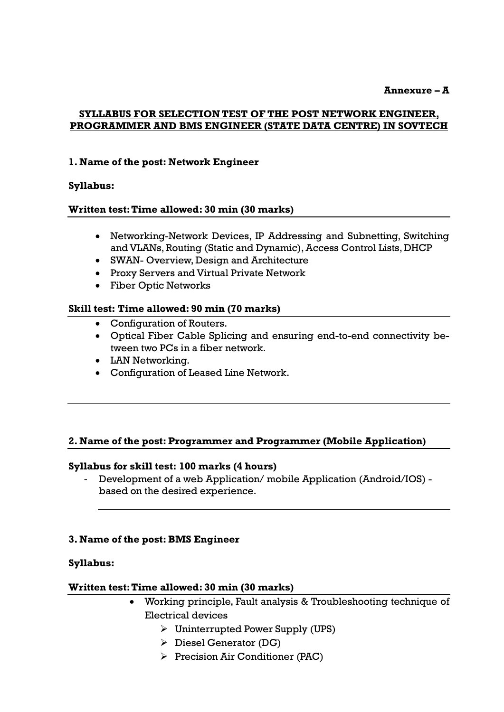**Annexure – A**

### **SYLLABUS FOR SELECTION TEST OF THE POST NETWORK ENGINEER, PROGRAMMER AND BMS ENGINEER (STATE DATA CENTRE) IN SOVTECH**

### **1. Name of the post: Network Engineer**

#### **Syllabus:**

#### **Written test: Time allowed: 30 min (30 marks)**

- Networking-Network Devices, IP Addressing and Subnetting, Switching and VLANs, Routing (Static and Dynamic), Access Control Lists, DHCP
- SWAN- Overview, Design and Architecture
- Proxy Servers and Virtual Private Network
- Fiber Optic Networks

#### **Skill test: Time allowed: 90 min (70 marks)**

- Configuration of Routers.
- Optical Fiber Cable Splicing and ensuring end-to-end connectivity between two PCs in a fiber network.
- LAN Networking.
- Configuration of Leased Line Network.

#### **2. Name of the post: Programmer and Programmer (Mobile Application)**

#### **Syllabus for skill test: 100 marks (4 hours)**

- Development of a web Application/ mobile Application (Android/IOS) based on the desired experience.

#### **3. Name of the post: BMS Engineer**

#### **Syllabus:**

#### **Written test: Time allowed: 30 min (30 marks)**

- Working principle, Fault analysis & Troubleshooting technique of Electrical devices
	- $\triangleright$  Uninterrupted Power Supply (UPS)
	- $\triangleright$  Diesel Generator (DG)
	- $\triangleright$  Precision Air Conditioner (PAC)